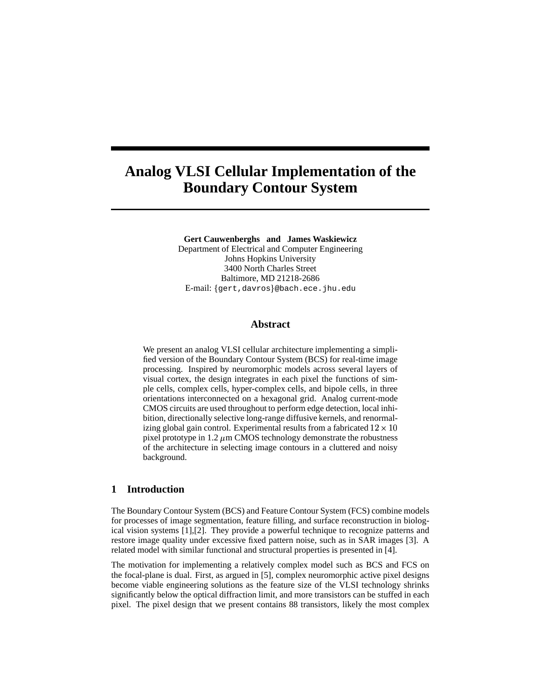# **Analog VLSI Cellular Implementation of the Boundary Contour System**

**Gert Cauwenberghs and James Waskiewicz** Department of Electrical and Computer Engineering Johns Hopkins University 3400 North Charles Street Baltimore, MD 21218-2686 E-mail: gert,davros @bach.ece.jhu.edu

#### **Abstract**

We present an analog VLSI cellular architecture implementing a simplified version of the Boundary Contour System (BCS) for real-time image processing. Inspired by neuromorphic models across several layers of visual cortex, the design integrates in each pixel the functions of simple cells, complex cells, hyper-complex cells, and bipole cells, in three orientations interconnected on a hexagonal grid. Analog current-mode CMOS circuits are used throughout to perform edge detection, local inhibition, directionally selective long-range diffusive kernels, and renormalizing global gain control. Experimental results from a fabricated  $12 \times 10$ pixel prototype in 1.2  $\mu$ m CMOS technology demonstrate the robustness of the architecture in selecting image contours in a cluttered and noisy background.

#### **1 Introduction**

The Boundary Contour System (BCS) and Feature Contour System (FCS) combine models for processes of image segmentation, feature filling, and surface reconstruction in biological vision systems [1],[2]. They provide a powerful technique to recognize patterns and restore image quality under excessive fixed pattern noise, such as in SAR images [3]. A related model with similar functional and structural properties is presented in [4].

The motivation for implementing a relatively complex model such as BCS and FCS on the focal-plane is dual. First, as argued in [5], complex neuromorphic active pixel designs become viable engineering solutions as the feature size of the VLSI technology shrinks significantly below the optical diffraction limit, and more transistors can be stuffed in each pixel. The pixel design that we present contains 88 transistors, likely the most complex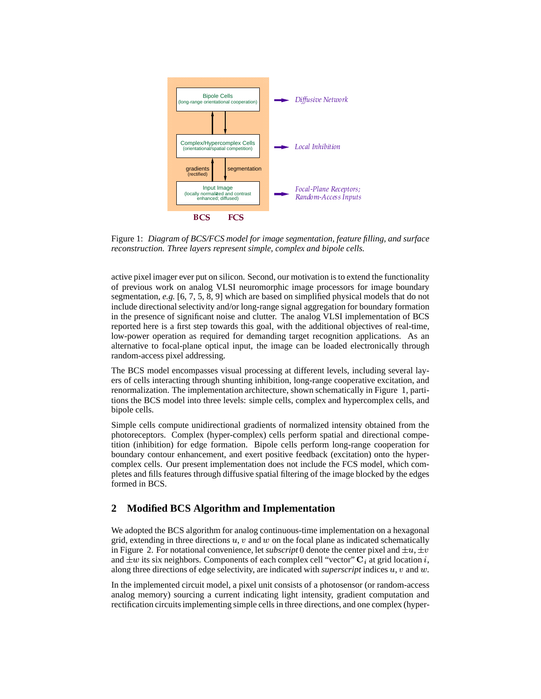

Figure 1: *Diagram of BCS/FCS model for image segmentation, feature filling, and surface reconstruction. Three layers represent simple, complex and bipole cells.*

active pixel imager ever put on silicon. Second, our motivation is to extend the functionality of previous work on analog VLSI neuromorphic image processors for image boundary segmentation, *e.g.* [6, 7, 5, 8, 9] which are based on simplified physical models that do not include directional selectivity and/or long-range signal aggregation for boundary formation in the presence of significant noise and clutter. The analog VLSI implementation of BCS reported here is a first step towards this goal, with the additional objectives of real-time, low-power operation as required for demanding target recognition applications. As an alternative to focal-plane optical input, the image can be loaded electronically through random-access pixel addressing.

The BCS model encompasses visual processing at different levels, including several layers of cells interacting through shunting inhibition, long-range cooperative excitation, and renormalization. The implementation architecture, shown schematically in Figure 1, partitions the BCS model into three levels: simple cells, complex and hypercomplex cells, and bipole cells.

Simple cells compute unidirectional gradients of normalized intensity obtained from the photoreceptors. Complex (hyper-complex) cells perform spatial and directional competition (inhibition) for edge formation. Bipole cells perform long-range cooperation for boundary contour enhancement, and exert positive feedback (excitation) onto the hypercomplex cells. Our present implementation does not include the FCS model, which completes and fills features through diffusive spatial filtering of the image blocked by the edges formed in BCS.

## **2 Modified BCS Algorithm and Implementation**

We adopted the BCS algorithm for analog continuous-time implementation on a hexagonal grid, extending in three directions  $u, v$  and  $w$  on the focal plane as indicated schematically in Figure 2. For notational convenience, let *subscript* 0 denote the center pixel and  $\pm u$ ,  $\pm v$ and  $\pm w$  its six neighbors. Components of each complex cell "vector"  $C_i$  at grid location i, along three directions of edge selectivity, are indicated with *superscript* indices  $u, v$  and  $w$ .

In the implemented circuit model, a pixel unit consists of a photosensor (or random-access analog memory) sourcing a current indicating light intensity, gradient computation and rectification circuitsimplementing simple cells in three directions, and one complex (hyper-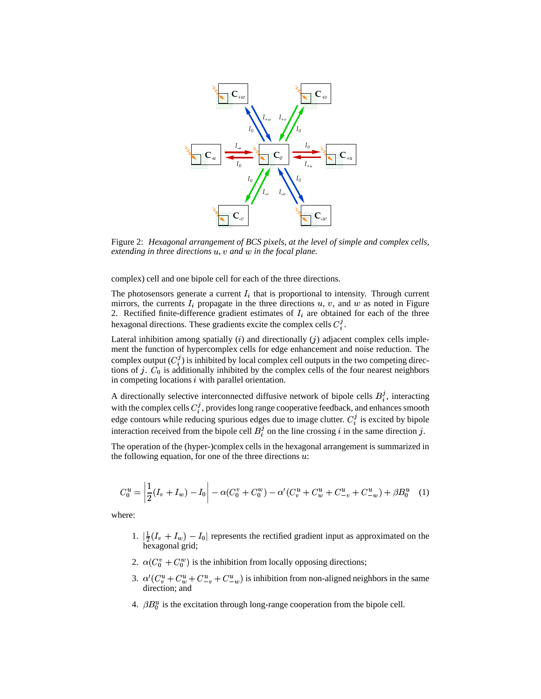

Figure 2: *Hexagonal arrangement of BCS pixels, at the level of simple and complex cells, extending in three directions*  $u$ *,*  $v$  *and*  $w$  *in the focal plane.* 

complex) cell and one bipole cell for each of the three directions.

The photosensors generate a current  $I_i$  that is proportional to intensity. Through current mirrors, the currents  $I_i$  propagate in the three directions  $u, v$ , and  $w$  as noted in Figure 2. Rectified finite-difference gradient estimates of  $I_i$  are obtained for each of the three hexagonal directions. These gradients excite the complex cells  $C_i^j$ .

Lateral inhibition among spatially  $(i)$  and directionally  $(j)$  adjacent complex cells implement the function of hypercomplex cells for edge enhancement and noise reduction. The complex output  $(C_i^j)$  is inhibited by local complex cell outputs in the two competing directions of j.  $C_0$  is additionally inhibited by the complex cells of the four nearest neighbors in competing locations  $i$  with parallel orientation.

A directionally selective interconnected diffusive network of bipole cells  $B_i^j$ , interacting with the complex cells  $C_i^j$ , provides long range cooperative feedback, and enhances smooth edge contours while reducing spurious edges due to image clutter.  $C_i^j$  is excited by bipole interaction received from the bipole cell  $B_i^j$  on the line crossing i in the same direction j.

The operation of the (hyper-)complex cells in the hexagonal arrangement is summarized in the following equation, for one of the three directions  $u$ :

$$
C_0^u = \left| \frac{1}{2}(I_v + I_w) - I_0 \right| - \alpha (C_0^v + C_0^w) - \alpha' (C_v^u + C_w^u + C_{-v}^u + C_{-w}^u) + \beta B_0^u \tag{1}
$$

where:

- 1.  $\frac{1}{2}(I_v + I_w) I_0$  represents the rectified gradient input as approximated on the hexagonal grid;
- 2.  $\alpha$ ( $C_0^v$  +  $C_0^w$ ) is the inhibition from locally opposing directions;
- 3.  $\alpha'(C_v^u + C_w^u + C_{-v}^u + C_{-w}^u)$  is inhibition from non-aligned neighbors in the same direction; and
- 4.  $\beta B_0^u$  is the excitation through long-range cooperation from the bipole cell.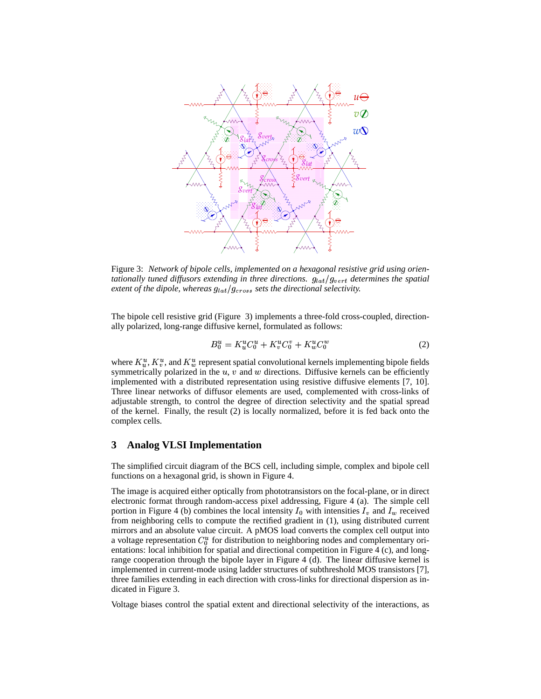

Figure 3: *Network of bipole cells, implemented on a hexagonal resistive grid using orientationally tuned diffusors extending in three directions.*  $g_{lat}/g_{vert}$  *determines the spatial extent of the dipole, whereas*  $g_{lat}/g_{cross}$  *sets the directional selectivity.* 

The bipole cell resistive grid (Figure 3) implements a three-fold cross-coupled, directionally polarized, long-range diffusive kernel, formulated as follows:

$$
B_0^u = K_u^u C_0^u + K_v^u C_0^v + K_w^u C_0^w \tag{2}
$$

where  $K_u^u, K_v^u$ , and  $K_w^u$  represent spatial convolutional kernels implementing bipole fields symmetrically polarized in the  $u, v$  and  $w$  directions. Diffusive kernels can be efficiently implemented with a distributed representation using resistive diffusive elements [7, 10]. Three linear networks of diffusor elements are used, complemented with cross-links of adjustable strength, to control the degree of direction selectivity and the spatial spread of the kernel. Finally, the result (2) is locally normalized, before it is fed back onto the complex cells.

#### **3 Analog VLSI Implementation**

The simplified circuit diagram of the BCS cell, including simple, complex and bipole cell functions on a hexagonal grid, is shown in Figure 4.

The image is acquired either optically from phototransistors on the focal-plane, or in direct electronic format through random-access pixel addressing, Figure 4 (a). The simple cell portion in Figure 4 (b) combines the local intensity  $I_0$  with intensities  $I_v$  and  $I_w$  received from neighboring cells to compute the rectified gradient in (1), using distributed current mirrors and an absolute value circuit. A pMOS load converts the complex cell output into a voltage representation  $C_0^u$  for distribution to neighboring nodes and complementary orientations: local inhibition for spatial and directional competition in Figure 4 (c), and longrange cooperation through the bipole layer in Figure 4 (d). The linear diffusive kernel is implemented in current-mode using ladder structures of subthreshold MOS transistors [7], three families extending in each direction with cross-links for directional dispersion as indicated in Figure 3.

Voltage biases control the spatial extent and directional selectivity of the interactions, as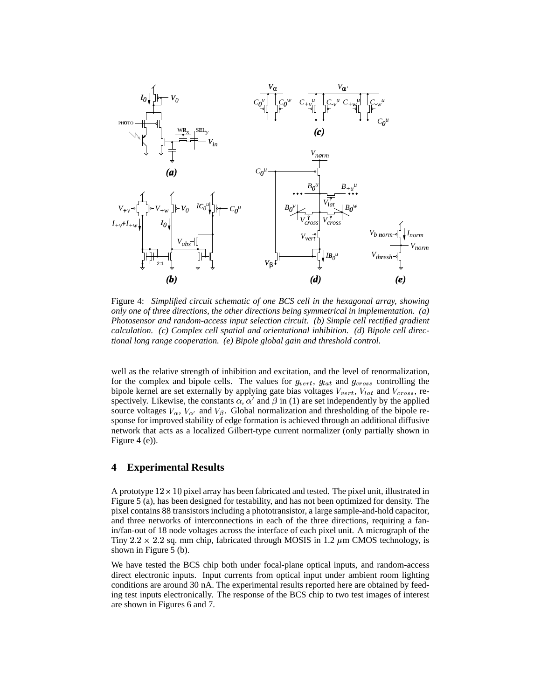

Figure 4: Simplified circuit schematic of one BCS cell in the hexagonal array, showing only one of three directions, the other directions being symmetrical in implementation.  $(a)$ Photosensor and random-access input selection circuit. (b) Simple cell rectified gradient calculation. (c) Complex cell spatial and orientational inhibition. (d) Bipole cell directional long range cooperation. (e) Bipole global gain and threshold control.

well as the relative strength of inhibition and excitation, and the level of renormalization, for the complex and bipole cells. The values for  $g_{vert}$ ,  $g_{lat}$  and  $g_{cross}$  controlling the bipole kernel are set externally by applying gate bias voltages  $V_{vert}$ ,  $V_{lat}$  and  $V_{cross}$ , respectively. Likewise, the constants  $\alpha$ ,  $\alpha'$  and  $\beta$  in (1) are set independently by the applied source voltages  $V_{\alpha}$ ,  $V_{\alpha'}$  and  $V_{\beta}$ . Global normalization and thresholding of the bipole response for improved stability of edge formation is achieved through an additional diffusive network that acts as a localized Gilbert-type current normalizer (only partially shown in Figure  $4(e)$ ).

#### 4 **Experimental Results**

A prototype  $12 \times 10$  pixel array has been fabricated and tested. The pixel unit, illustrated in Figure 5 (a), has been designed for testability, and has not been optimized for density. The pixel contains 88 transistors including a phototransistor, a large sample-and-hold capacitor, and three networks of interconnections in each of the three directions, requiring a fanin/fan-out of 18 node voltages across the interface of each pixel unit. A micrograph of the Tiny 2.2  $\times$  2.2 sq. mm chip, fabricated through MOSIS in 1.2  $\mu$ m CMOS technology, is shown in Figure 5 (b).

We have tested the BCS chip both under focal-plane optical inputs, and random-access direct electronic inputs. Input currents from optical input under ambient room lighting conditions are around 30 nA. The experimental results reported here are obtained by feeding test inputs electronically. The response of the BCS chip to two test images of interest are shown in Figures 6 and 7.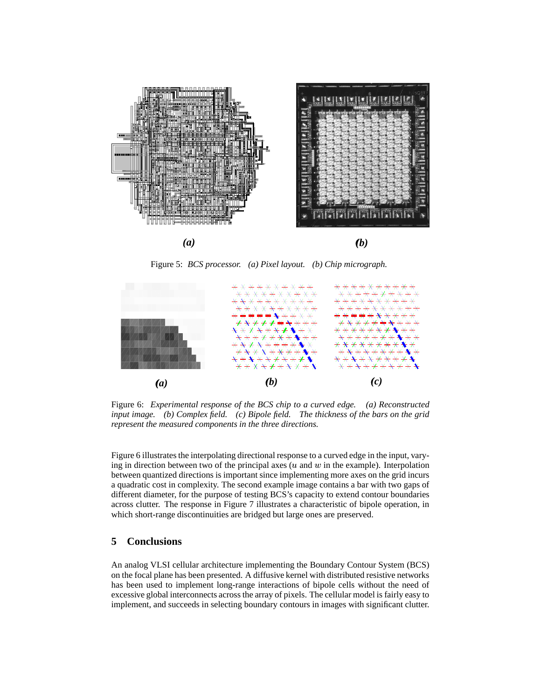

Figure 5: BCS processor. (a) Pixel layout. (b) Chip micrograph.



Figure 6: Experimental response of the BCS chip to a curved edge. (a) Reconstructed input image. (b) Complex field. (c) Bipole field. The thickness of the bars on the grid represent the measured components in the three directions.

Figure 6 illustrates the interpolating directional response to a curved edge in the input, varying in direction between two of the principal axes  $(u \text{ and } w \text{ in the example})$ . Interpolation between quantized directions is important since implementing more axes on the grid incurs a quadratic cost in complexity. The second example image contains a bar with two gaps of different diameter, for the purpose of testing BCS's capacity to extend contour boundaries across clutter. The response in Figure 7 illustrates a characteristic of bipole operation, in which short-range discontinuities are bridged but large ones are preserved.

#### 5 **Conclusions**

An analog VLSI cellular architecture implementing the Boundary Contour System (BCS) on the focal plane has been presented. A diffusive kernel with distributed resistive networks has been used to implement long-range interactions of bipole cells without the need of excessive global interconnects across the array of pixels. The cellular model is fairly easy to implement, and succeeds in selecting boundary contours in images with significant clutter.